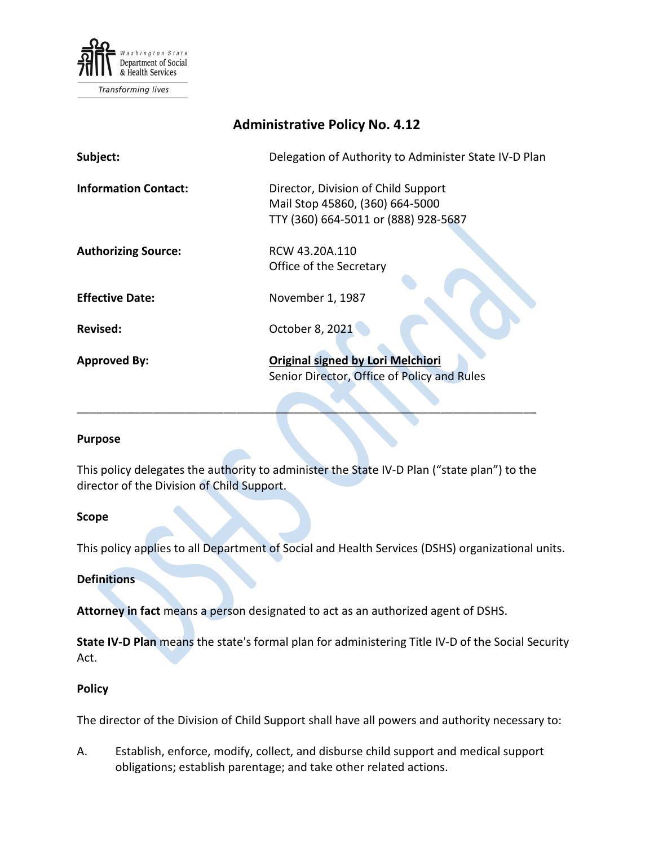

Transforming lives

# **Administrative Policy No. 4.12**

| Subject:                    | Delegation of Authority to Administer State IV-D Plan                                                          |
|-----------------------------|----------------------------------------------------------------------------------------------------------------|
| <b>Information Contact:</b> | Director, Division of Child Support<br>Mail Stop 45860, (360) 664-5000<br>TTY (360) 664-5011 or (888) 928-5687 |
| <b>Authorizing Source:</b>  | RCW 43.20A.110<br>Office of the Secretary                                                                      |
| <b>Effective Date:</b>      | November 1, 1987                                                                                               |
| Revised:                    | October 8, 2021                                                                                                |
| <b>Approved By:</b>         | <b>Original signed by Lori Melchiori</b><br>Senior Director, Office of Policy and Rules                        |

#### **Purpose**

This policy delegates the authority to administer the State IV-D Plan ("state plan") to the director of the Division of Child Support.

\_\_\_\_\_\_\_\_\_\_\_\_\_\_\_\_\_\_\_\_\_\_\_\_\_\_\_\_\_\_\_\_\_\_\_\_\_\_\_\_\_\_\_\_\_\_\_\_\_\_\_\_\_\_\_\_\_\_\_\_\_\_\_\_\_\_\_\_\_\_\_\_

#### **Scope**

This policy applies to all Department of Social and Health Services (DSHS) organizational units.

## **Definitions**

**Attorney in fact** means a person designated to act as an authorized agent of DSHS.

**State IV-D Plan** means the state's formal plan for administering Title IV-D of the Social Security Act.

### **Policy**

The director of the Division of Child Support shall have all powers and authority necessary to:

A. Establish, enforce, modify, collect, and disburse child support and medical support obligations; establish parentage; and take other related actions.